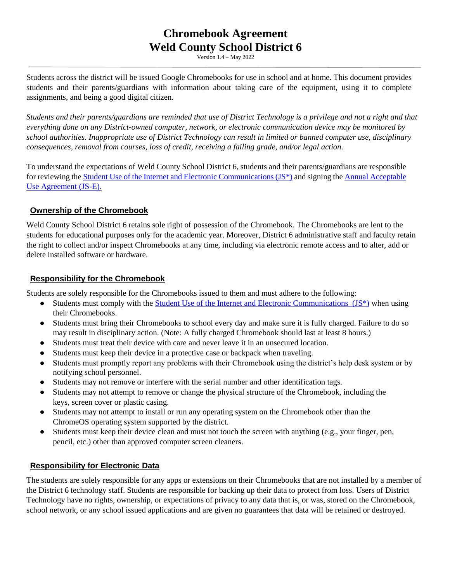# **Chromebook Agreement Weld County School District 6**

Version 1.4 – May 2022

Students across the district will be issued Google Chromebooks for use in school and at home. This document provides students and their parents/guardians with information about taking care of the equipment, using it to complete assignments, and being a good digital citizen.

*Students and their parents/guardians are reminded that use of District Technology is a privilege and not a right and that everything done on any District-owned computer, network, or electronic communication device may be monitored by school authorities. Inappropriate use of District Technology can result in limited or banned computer use, disciplinary consequences, removal from courses, loss of credit, receiving a failing grade, and/or legal action.*

To understand the expectations of Weld County School District 6, students and their parents/guardians are responsible for reviewing the [Student Use of the Internet and Electronic Communications \(JS\\*\)](http://go.boarddocs.com/co/wcsd6/Board.nsf/goto?open&id=9TKRA26CE30C) and signing the [Annual Acceptable](http://go.boarddocs.com/co/wcsd6/Board.nsf/goto?open&id=9TKREJ6D9DC6)  [Use Agreement \(JS-E\).](http://go.boarddocs.com/co/wcsd6/Board.nsf/goto?open&id=9TKREJ6D9DC6)

## **Ownership of the Chromebook**

Weld County School District 6 retains sole right of possession of the Chromebook. The Chromebooks are lent to the students for educational purposes only for the academic year. Moreover, District 6 administrative staff and faculty retain the right to collect and/or inspect Chromebooks at any time, including via electronic remote access and to alter, add or delete installed software or hardware.

## **Responsibility for the Chromebook**

Students are solely responsible for the Chromebooks issued to them and must adhere to the following:

- Students must comply with the Student Use of the Internet and Electronic Communications  $(JS^*)$  when using their Chromebooks.
- Students must bring their Chromebooks to school every day and make sure it is fully charged. Failure to do so may result in disciplinary action. (Note: A fully charged Chromebook should last at least 8 hours.)
- Students must treat their device with care and never leave it in an unsecured location.
- Students must keep their device in a protective case or backpack when traveling.
- Students must promptly report any problems with their Chromebook using the district's help desk system or by notifying school personnel.
- Students may not remove or interfere with the serial number and other identification tags.
- Students may not attempt to remove or change the physical structure of the Chromebook, including the keys, screen cover or plastic casing.
- Students may not attempt to install or run any operating system on the Chromebook other than the ChromeOS operating system supported by the district.
- Students must keep their device clean and must not touch the screen with anything (e.g., your finger, pen, pencil, etc.) other than approved computer screen cleaners.

### **Responsibility for Electronic Data**

The students are solely responsible for any apps or extensions on their Chromebooks that are not installed by a member of the District 6 technology staff. Students are responsible for backing up their data to protect from loss. Users of District Technology have no rights, ownership, or expectations of privacy to any data that is, or was, stored on the Chromebook, school network, or any school issued applications and are given no guarantees that data will be retained or destroyed.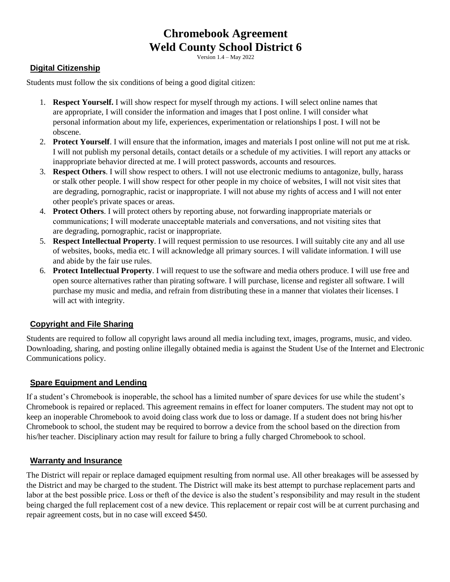# **Chromebook Agreement Weld County School District 6**

Version 1.4 – May 2022

## **Digital Citizenship**

Students must follow the six conditions of being a good digital citizen:

- 1. **Respect Yourself.** I will show respect for myself through my actions. I will select online names that are appropriate, I will consider the information and images that I post online. I will consider what personal information about my life, experiences, experimentation or relationships I post. I will not be obscene.
- 2. **Protect Yourself**. I will ensure that the information, images and materials I post online will not put me at risk. I will not publish my personal details, contact details or a schedule of my activities. I will report any attacks or inappropriate behavior directed at me. I will protect passwords, accounts and resources.
- 3. **Respect Others**. I will show respect to others. I will not use electronic mediums to antagonize, bully, harass or stalk other people. I will show respect for other people in my choice of websites, I will not visit sites that are degrading, pornographic, racist or inappropriate. I will not abuse my rights of access and I will not enter other people's private spaces or areas.
- 4. **Protect Others**. I will protect others by reporting abuse, not forwarding inappropriate materials or communications; I will moderate unacceptable materials and conversations, and not visiting sites that are degrading, pornographic, racist or inappropriate.
- 5. **Respect Intellectual Property**. I will request permission to use resources. I will suitably cite any and all use of websites, books, media etc. I will acknowledge all primary sources. I will validate information. I will use and abide by the fair use rules.
- 6. **Protect Intellectual Property**. I will request to use the software and media others produce. I will use free and open source alternatives rather than pirating software. I will purchase, license and register all software. I will purchase my music and media, and refrain from distributing these in a manner that violates their licenses. I will act with integrity.

### **Copyright and File Sharing**

Students are required to follow all copyright laws around all media including text, images, programs, music, and video. Downloading, sharing, and posting online illegally obtained media is against the Student Use of the Internet and Electronic Communications policy.

### **Spare Equipment and Lending**

If a student's Chromebook is inoperable, the school has a limited number of spare devices for use while the student's Chromebook is repaired or replaced. This agreement remains in effect for loaner computers. The student may not opt to keep an inoperable Chromebook to avoid doing class work due to loss or damage. If a student does not bring his/her Chromebook to school, the student may be required to borrow a device from the school based on the direction from his/her teacher. Disciplinary action may result for failure to bring a fully charged Chromebook to school.

### **Warranty and Insurance**

The District will repair or replace damaged equipment resulting from normal use. All other breakages will be assessed by the District and may be charged to the student. The District will make its best attempt to purchase replacement parts and labor at the best possible price. Loss or theft of the device is also the student's responsibility and may result in the student being charged the full replacement cost of a new device. This replacement or repair cost will be at current purchasing and repair agreement costs, but in no case will exceed \$450.